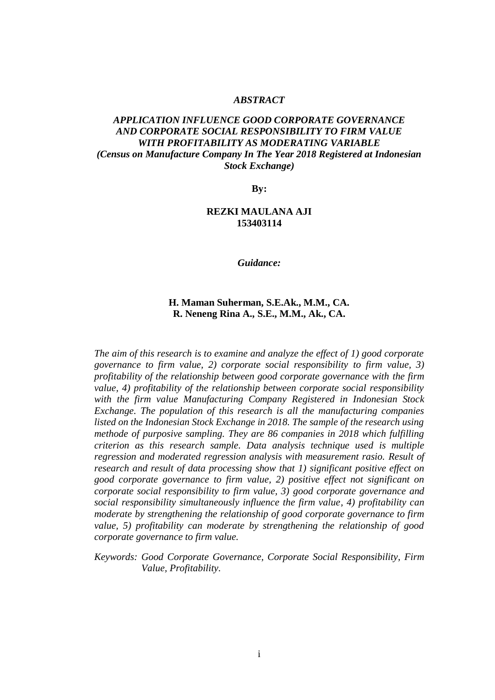#### *ABSTRACT*

## *APPLICATION INFLUENCE GOOD CORPORATE GOVERNANCE AND CORPORATE SOCIAL RESPONSIBILITY TO FIRM VALUE WITH PROFITABILITY AS MODERATING VARIABLE (Census on Manufacture Company In The Year 2018 Registered at Indonesian Stock Exchange)*

**By:**

#### **REZKI MAULANA AJI 153403114**

*Guidance:*

### **H. Maman Suherman, S.E.Ak., M.M., CA. R. Neneng Rina A., S.E., M.M., Ak., CA.**

*The aim of this research is to examine and analyze the effect of 1) good corporate governance to firm value, 2) corporate social responsibility to firm value, 3) profitability of the relationship between good corporate governance with the firm value, 4) profitability of the relationship between corporate social responsibility with the firm value Manufacturing Company Registered in Indonesian Stock Exchange. The population of this research is all the manufacturing companies listed on the Indonesian Stock Exchange in 2018. The sample of the research using methode of purposive sampling. They are 86 companies in 2018 which fulfilling criterion as this research sample. Data analysis technique used is multiple regression and moderated regression analysis with measurement rasio. Result of research and result of data processing show that 1) significant positive effect on good corporate governance to firm value, 2) positive effect not significant on corporate social responsibility to firm value, 3) good corporate governance and social responsibility simultaneously influence the firm value, 4) profitability can moderate by strengthening the relationship of good corporate governance to firm value, 5) profitability can moderate by strengthening the relationship of good corporate governance to firm value.*

*Keywords: Good Corporate Governance, Corporate Social Responsibility, Firm Value, Profitability.*